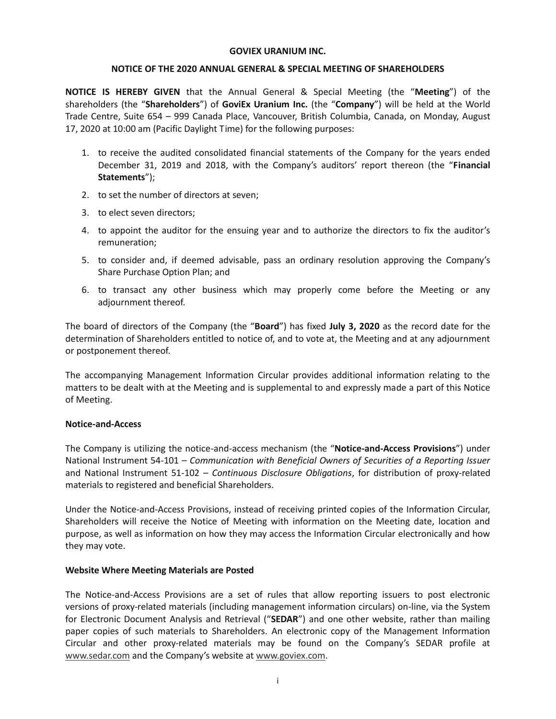### **GOVIEX URANIUM INC.**

## **NOTICE OF THE 2020 ANNUAL GENERAL & SPECIAL MEETING OF SHAREHOLDERS**

**NOTICE IS HEREBY GIVEN** that the Annual General & Special Meeting (the "**Meeting**") of the shareholders (the "**Shareholders**") of **GoviEx Uranium Inc.** (the "**Company**") will be held at the World Trade Centre, Suite 654 – 999 Canada Place, Vancouver, British Columbia, Canada, on Monday, August 17, 2020 at 10:00 am (Pacific Daylight Time) for the following purposes:

- 1. to receive the audited consolidated financial statements of the Company for the years ended December 31, 2019 and 2018, with the Company's auditors' report thereon (the "**Financial Statements**");
- 2. to set the number of directors at seven;
- 3. to elect seven directors;
- 4. to appoint the auditor for the ensuing year and to authorize the directors to fix the auditor's remuneration;
- 5. to consider and, if deemed advisable, pass an ordinary resolution approving the Company's Share Purchase Option Plan; and
- 6. to transact any other business which may properly come before the Meeting or any adjournment thereof.

The board of directors of the Company (the "**Board**") has fixed **July 3, 2020** as the record date for the determination of Shareholders entitled to notice of, and to vote at, the Meeting and at any adjournment or postponement thereof.

The accompanying Management Information Circular provides additional information relating to the matters to be dealt with at the Meeting and is supplemental to and expressly made a part of this Notice of Meeting.

# **Notice-and-Access**

The Company is utilizing the notice-and-access mechanism (the "**Notice-and-Access Provisions**") under National Instrument 54-101 – *Communication with Beneficial Owners of Securities of a Reporting Issuer* and National Instrument 51-102 – *Continuous Disclosure Obligations*, for distribution of proxy-related materials to registered and beneficial Shareholders.

Under the Notice-and-Access Provisions, instead of receiving printed copies of the Information Circular, Shareholders will receive the Notice of Meeting with information on the Meeting date, location and purpose, as well as information on how they may access the Information Circular electronically and how they may vote.

# **Website Where Meeting Materials are Posted**

The Notice-and-Access Provisions are a set of rules that allow reporting issuers to post electronic versions of proxy-related materials (including management information circulars) on-line, via the System for Electronic Document Analysis and Retrieval ("**SEDAR**") and one other website, rather than mailing paper copies of such materials to Shareholders. An electronic copy of the Management Information Circular and other proxy-related materials may be found on the Company's SEDAR profile at www.sedar.com and the Company's website at www.goviex.com.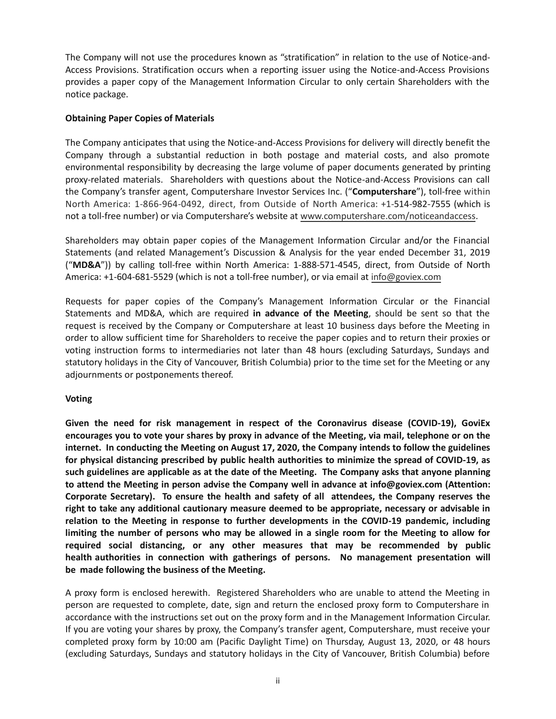The Company will not use the procedures known as "stratification" in relation to the use of Notice-and-Access Provisions. Stratification occurs when a reporting issuer using the Notice-and-Access Provisions provides a paper copy of the Management Information Circular to only certain Shareholders with the notice package.

## **Obtaining Paper Copies of Materials**

The Company anticipates that using the Notice-and-Access Provisions for delivery will directly benefit the Company through a substantial reduction in both postage and material costs, and also promote environmental responsibility by decreasing the large volume of paper documents generated by printing proxy-related materials. Shareholders with questions about the Notice-and-Access Provisions can call the Company's transfer agent, Computershare Investor Services Inc. ("**Computershare**"), toll-free within North America: 1-866-964-0492, direct, from Outside of North America: +1-514-982-7555 (which is not a toll-free number) or via Computershare's website at www.computershare.com/noticeandaccess.

Shareholders may obtain paper copies of the Management Information Circular and/or the Financial Statements (and related Management's Discussion & Analysis for the year ended December 31, 2019 ("**MD&A**")) by calling toll-free within North America: 1-888-571-4545, direct, from Outside of North America: +1-604-681-5529 (which is not a toll-free number), or via email at info@goviex.com

Requests for paper copies of the Company's Management Information Circular or the Financial Statements and MD&A, which are required **in advance of the Meeting**, should be sent so that the request is received by the Company or Computershare at least 10 business days before the Meeting in order to allow sufficient time for Shareholders to receive the paper copies and to return their proxies or voting instruction forms to intermediaries not later than 48 hours (excluding Saturdays, Sundays and statutory holidays in the City of Vancouver, British Columbia) prior to the time set for the Meeting or any adjournments or postponements thereof.

# **Voting**

**Given the need for risk management in respect of the Coronavirus disease (COVID-19), GoviEx encourages you to vote your shares by proxy in advance of the Meeting, via mail, telephone or on the internet. In conducting the Meeting on August 17, 2020, the Company intends to follow the guidelines for physical distancing prescribed by public health authorities to minimize the spread of COVID-19, as such guidelines are applicable as at the date of the Meeting. The Company asks that anyone planning to attend the Meeting in person advise the Company well in advance at info@goviex.com (Attention: Corporate Secretary). To ensure the health and safety of all attendees, the Company reserves the right to take any additional cautionary measure deemed to be appropriate, necessary or advisable in relation to the Meeting in response to further developments in the COVID-19 pandemic, including limiting the number of persons who may be allowed in a single room for the Meeting to allow for required social distancing, or any other measures that may be recommended by public health authorities in connection with gatherings of persons͘ No management presentation will be made following the business of the Meeting.** 

A proxy form is enclosed herewith. Registered Shareholders who are unable to attend the Meeting in person are requested to complete, date, sign and return the enclosed proxy form to Computershare in accordance with the instructions set out on the proxy form and in the Management Information Circular. If you are voting your shares by proxy, the Company's transfer agent, Computershare, must receive your completed proxy form by 10:00 am (Pacific Daylight Time) on Thursday, August 13, 2020, or 48 hours (excluding Saturdays, Sundays and statutory holidays in the City of Vancouver, British Columbia) before